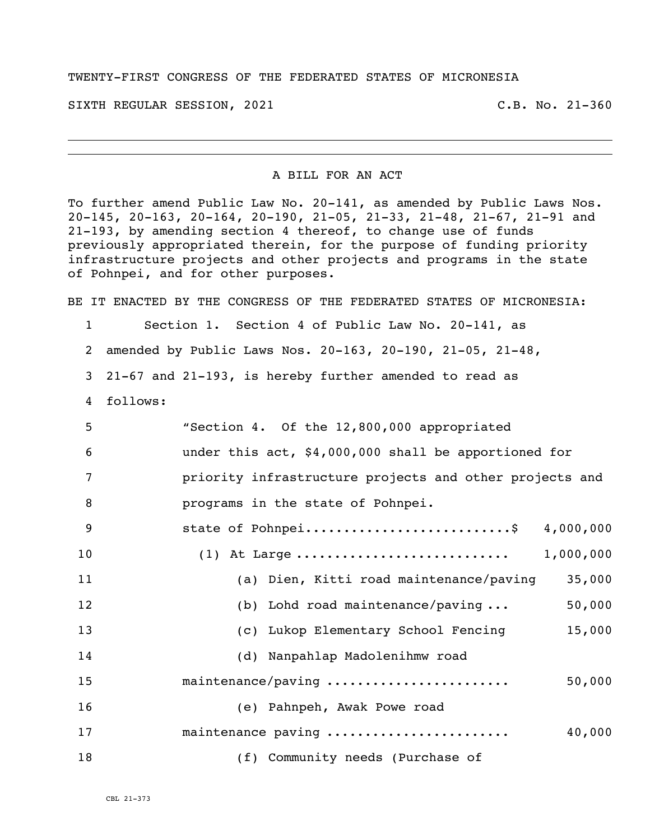## TWENTY-FIRST CONGRESS OF THE FEDERATED STATES OF MICRONESIA

SIXTH REGULAR SESSION, 2021 C.B. No. 21-360

## A BILL FOR AN ACT

To further amend Public Law No. 20-141, as amended by Public Laws Nos. 20-145, 20-163, 20-164, 20-190, 21-05, 21-33, 21-48, 21-67, 21-91 and 21-193, by amending section 4 thereof, to change use of funds previously appropriated therein, for the purpose of funding priority infrastructure projects and other projects and programs in the state of Pohnpei, and for other purposes.

BE IT ENACTED BY THE CONGRESS OF THE FEDERATED STATES OF MICRONESIA:

- Section 1. Section 4 of Public Law No. 20-141, as
- amended by Public Laws Nos. 20-163, 20-190, 21-05, 21-48,
- 21-67 and 21-193, is hereby further amended to read as
- follows:

| 5               | "Section 4. Of the 12,800,000 appropriated              |
|-----------------|---------------------------------------------------------|
| 6               | under this act, \$4,000,000 shall be apportioned for    |
| 7               | priority infrastructure projects and other projects and |
| 8               | programs in the state of Pohnpei.                       |
| 9               | state of Pohnpei\$ 4,000,000                            |
| 10 <sub>o</sub> |                                                         |
| 11              | (a) Dien, Kitti road maintenance/paving<br>35,000       |
| 12              | (b) Lohd road maintenance/paving $\ldots$<br>50,000     |
| 13              | 15,000<br>(c) Lukop Elementary School Fencing           |
| 14              | (d) Nanpahlap Madolenihmw road                          |
| 15              | maintenance/paving<br>50,000                            |
| 16              | (e) Pahnpeh, Awak Powe road                             |
| 17              | maintenance paving<br>40,000                            |
| 18              | (f) Community needs (Purchase of                        |

CBL 21-373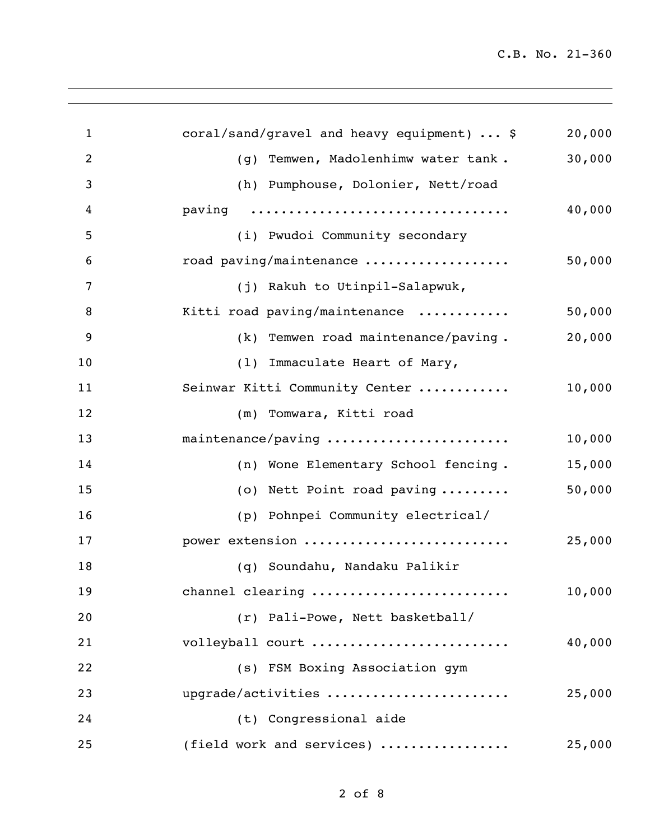| $\mathbf{1}$   | coral/sand/gravel and heavy equipment)  \$              | 20,000 |
|----------------|---------------------------------------------------------|--------|
| $\overline{2}$ | (g) Temwen, Madolenhimw water tank.                     | 30,000 |
| 3              | (h) Pumphouse, Dolonier, Nett/road                      |        |
| 4              | paving                                                  | 40,000 |
| 5              | (i) Pwudoi Community secondary                          |        |
| 6              | road paving/maintenance                                 | 50,000 |
| 7              | (j) Rakuh to Utinpil-Salapwuk,                          |        |
| 8              | Kitti road paving/maintenance                           | 50,000 |
| 9              | (k) Temwen road maintenance/paving.                     | 20,000 |
| 10             | (1) Immaculate Heart of Mary,                           |        |
| 11             | Seinwar Kitti Community Center                          | 10,000 |
| 12             | (m) Tomwara, Kitti road                                 |        |
| 13             | maintenance/paving                                      | 10,000 |
| 14             | (n) Wone Elementary School fencing.                     | 15,000 |
| 15             | (o) Nett Point road paving                              | 50,000 |
| 16             | (p) Pohnpei Community electrical/                       |        |
| 17             | power extension                                         | 25,000 |
| 18             | (q) Soundahu, Nandaku Palikir                           |        |
| 19             | channel clearing                                        | 10,000 |
| 20             | (r) Pali-Powe, Nett basketball/                         |        |
| 21             | volleyball court                                        | 40,000 |
| 22             | (s) FSM Boxing Association gym                          |        |
| 23             | upgrade/activities                                      | 25,000 |
| 24             | (t) Congressional aide                                  |        |
| 25             | (field work and services) $\ldots \ldots \ldots \ldots$ | 25,000 |
|                |                                                         |        |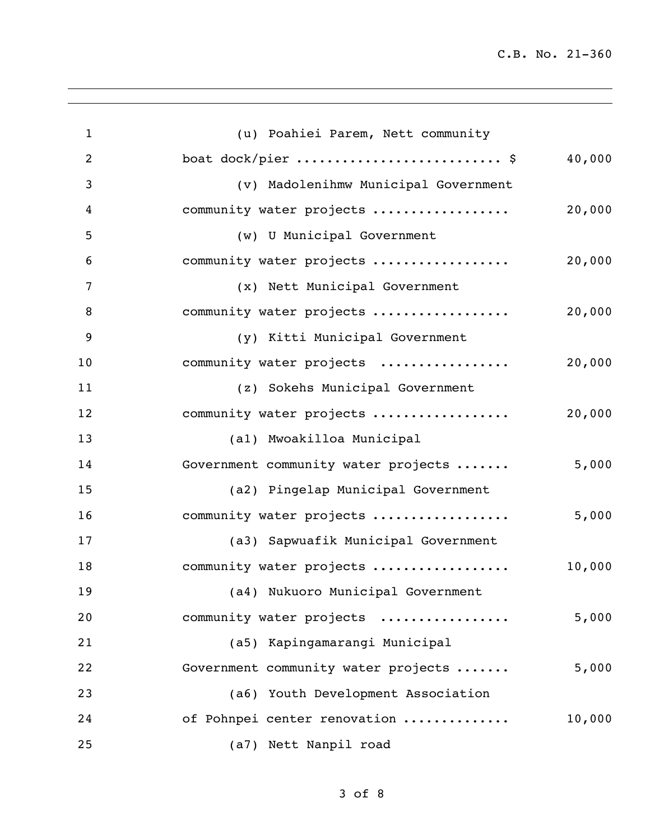| $\mathbf{1}$   | (u) Poahiei Parem, Nett community            |
|----------------|----------------------------------------------|
| $\overline{2}$ | boat dock/pier  \$<br>40,000                 |
| 3              | (v) Madolenihmw Municipal Government         |
| 4              | community water projects<br>20,000           |
| 5              | (w) U Municipal Government                   |
| 6              | community water projects<br>20,000           |
| 7              | (x) Nett Municipal Government                |
| 8              | 20,000<br>community water projects           |
| 9              | (y) Kitti Municipal Government               |
| 10             | 20,000<br>community water projects           |
| 11             | (z) Sokehs Municipal Government              |
| 12             | community water projects<br>20,000           |
| 13             | (al) Mwoakilloa Municipal                    |
| 14             | Government community water projects<br>5,000 |
| 15             | (a2) Pingelap Municipal Government           |
| 16             | 5,000<br>community water projects            |
| 17             | (a3) Sapwuafik Municipal Government          |
| 18             | community water projects<br>10,000           |
| 19             | (a4) Nukuoro Municipal Government            |
| 20             | community water projects<br>5,000            |
| 21             | (a5) Kapingamarangi Municipal                |
| 22             | Government community water projects<br>5,000 |
| 23             | (a6) Youth Development Association           |
| 24             | 10,000<br>of Pohnpei center renovation       |
| 25             | (a7) Nett Nanpil road                        |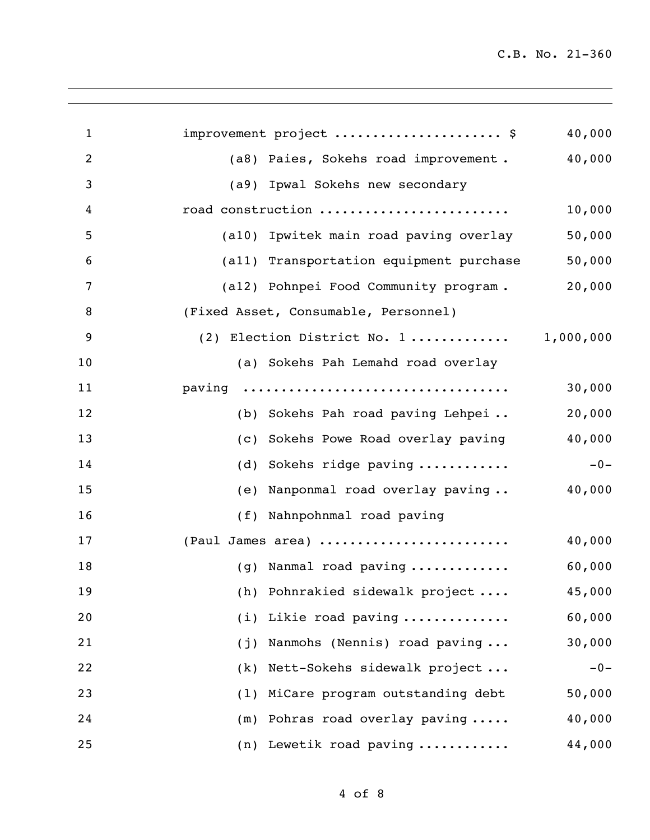| $\mathbf{1}$   | improvement project  \$                    | 40,000 |
|----------------|--------------------------------------------|--------|
| $\overline{2}$ | (a8) Paies, Sokehs road improvement.       | 40,000 |
| 3              | (a9) Ipwal Sokehs new secondary            |        |
| 4              | road construction                          | 10,000 |
| 5              | (a10) Ipwitek main road paving overlay     | 50,000 |
| 6              | (all) Transportation equipment purchase    | 50,000 |
| 7              | (a12) Pohnpei Food Community program.      | 20,000 |
| 8              | (Fixed Asset, Consumable, Personnel)       |        |
| 9              | (2) Election District No. 1 1,000,000      |        |
| 10             | (a) Sokehs Pah Lemahd road overlay         |        |
| 11             | paving                                     | 30,000 |
| 12             | (b) Sokehs Pah road paving Lehpei          | 20,000 |
| 13             | (c) Sokehs Powe Road overlay paving        | 40,000 |
| 14             | Sokehs ridge paving<br>(d)                 | $-0-$  |
| 15             | (e) Nanponmal road overlay paving          | 40,000 |
| 16             | (f) Nahnpohnmal road paving                |        |
| 17             | (Paul James area)                          | 40,000 |
| 18             | (g) Nanmal road paving                     | 60,000 |
| 19             | (h) Pohnrakied sidewalk project            | 45,000 |
| 20             | (i) Likie road paving                      | 60,000 |
| 21             | (j) Nanmohs (Nennis) road paving           | 30,000 |
| 22             | (k) Nett-Sokehs sidewalk project           | $-0-$  |
| 23             | (1) MiCare program outstanding debt        | 50,000 |
| 24             | $(m)$ Pohras road overlay paving $\dots$ . | 40,000 |
| 25             | (n) Lewetik road paving                    | 44,000 |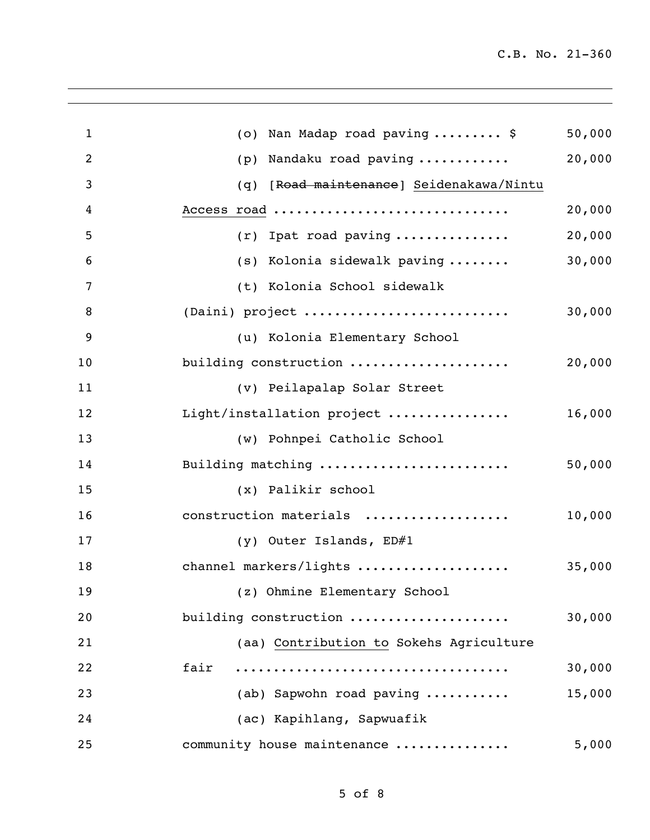| $\mathbf 1$    | Nan Madap road paving  \$<br>50,000<br>(0)  |
|----------------|---------------------------------------------|
| $\overline{2}$ | 20,000<br>Nandaku road paving<br>(p)        |
| 3              | [Road maintenance] Seidenakawa/Nintu<br>(q) |
| 4              | Access road<br>20,000                       |
| 5              | 20,000<br>$(r)$ Ipat road paving            |
| 6              | 30,000<br>(s) Kolonia sidewalk paving       |
| 7              | (t) Kolonia School sidewalk                 |
| 8              | (Daini) project<br>30,000                   |
| 9              | (u) Kolonia Elementary School               |
| 10             | building construction<br>20,000             |
| 11             | (v) Peilapalap Solar Street                 |
| 12             | Light/installation project<br>16,000        |
| 13             | (w) Pohnpei Catholic School                 |
| 14             | Building matching<br>50,000                 |
| 15             | (x) Palikir school                          |
| 16             | construction materials<br>10,000            |
| 17             | (y) Outer Islands, ED#1                     |
| 18             | channel markers/lights<br>35,000            |
| 19             | (z) Ohmine Elementary School                |
| 20             | building construction<br>30,000             |
| 21             | (aa) Contribution to Sokehs Agriculture     |
| 22             | fair<br>30,000                              |
| 23             | (ab) Sapwohn road paving<br>15,000          |
| 24             | (ac) Kapihlang, Sapwuafik                   |
| 25             | community house maintenance<br>5,000        |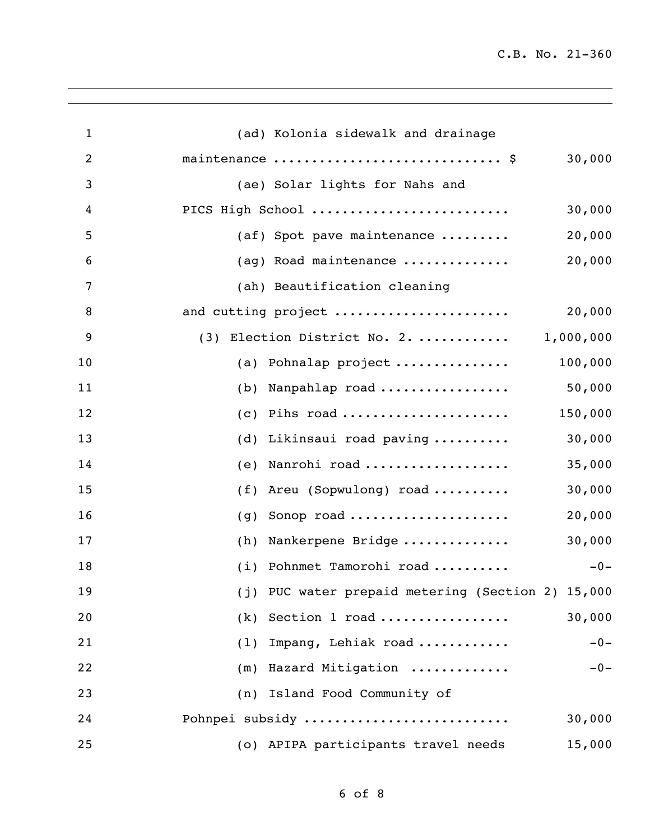| $\mathbf{1}$   | (ad) Kolonia sidewalk and drainage                |
|----------------|---------------------------------------------------|
| $\overline{2}$ | maintenance  \$<br>30,000                         |
| 3              | (ae) Solar lights for Nahs and                    |
| 4              | PICS High School<br>30,000                        |
| 5              | 20,000<br>(af) Spot pave maintenance              |
| 6              | 20,000<br>(ag) Road maintenance                   |
| 7              | (ah) Beautification cleaning                      |
| 8              | and cutting project<br>20,000                     |
| 9              | (3) Election District No. 2.  1,000,000           |
| 10             | 100,000<br>(a) Pohnalap project                   |
| 11             | 50,000<br>(b) Nanpahlap road                      |
| 12             | 150,000<br>$(c)$ Pihs road                        |
| 13             | 30,000<br>(d) Likinsaui road paving               |
| 14             | 35,000<br>Nanrohi road<br>(e)                     |
| 15             | 30,000<br>(f) Areu (Sopwulong) road               |
| 16             | 20,000<br>Sonop road<br>(g)                       |
| 17             | 30,000<br>Nankerpene Bridge<br>(h)                |
| 18             | (i) Pohnmet Tamorohi road<br>$-0-$                |
| 19             | (j) PUC water prepaid metering (Section 2) 15,000 |
| 20             | $(k)$ Section 1 road<br>30,000                    |
| 21             | (1) Impang, Lehiak road<br>$-0-$                  |
| 22             | (m) Hazard Mitigation<br>$-0-$                    |
| 23             | (n) Island Food Community of                      |
| 24             | Pohnpei subsidy<br>30,000                         |
| 25             | (o) APIPA participants travel needs<br>15,000     |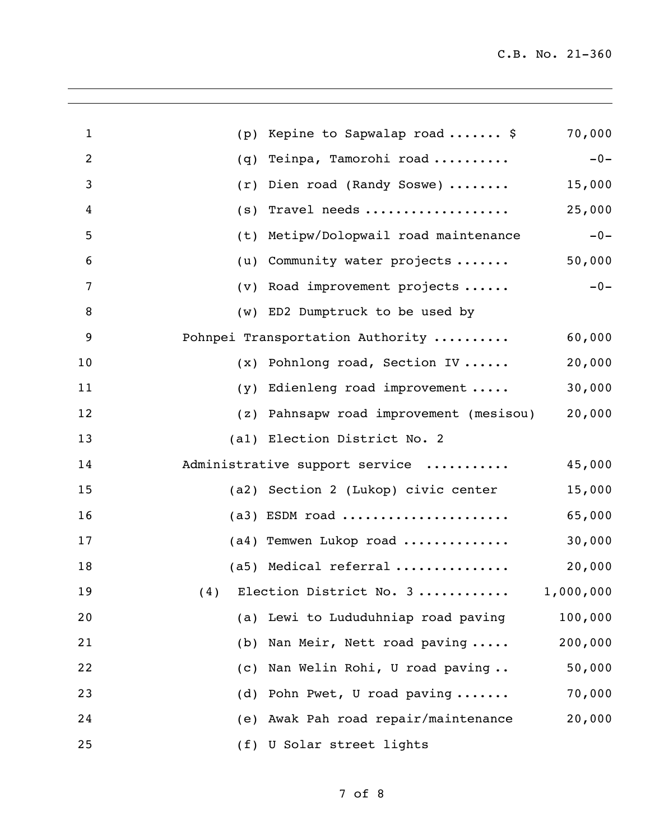| $\mathbf{1}$   | (p) | Kepine to Sapwalap road  \$             | 70,000  |
|----------------|-----|-----------------------------------------|---------|
| $\overline{2}$ | (q) | Teinpa, Tamorohi road                   | $-0-$   |
| 3              | (r) | Dien road (Randy Soswe)                 | 15,000  |
| 4              | (s) | Travel needs                            | 25,000  |
| 5              | (t) | Metipw/Dolopwail road maintenance       | $-0-$   |
| 6              | (u) | Community water projects                | 50,000  |
| 7              | (v) | Road improvement projects               | $-0-$   |
| 8              | (w) | ED2 Dumptruck to be used by             |         |
| 9              |     | Pohnpei Transportation Authority        | 60,000  |
| 10             | (x) | Pohnlong road, Section IV               | 20,000  |
| 11             | (y) | Edienleng road improvement              | 30,000  |
| 12             | (z) | Pahnsapw road improvement (mesisou)     | 20,000  |
| 13             |     | (al) Election District No. 2            |         |
| 14             |     | Administrative support service          | 45,000  |
| 15             |     | (a2) Section 2 (Lukop) civic center     | 15,000  |
| 16             |     | $(a3)$ ESDM road                        | 65,000  |
| 17             |     | $(a4)$ Temwen Lukop road                | 30,000  |
| 18             |     | $(a5)$ Medical referral                 | 20,000  |
| 19             |     | (4) Election District No. $3$ 1,000,000 |         |
| 20             |     | (a) Lewi to Lududuhniap road paving     | 100,000 |
| 21             |     | (b) Nan Meir, Nett road paving          | 200,000 |
| 22             | (C) | Nan Welin Rohi, U road paving           | 50,000  |
| 23             |     | (d) Pohn Pwet, U road paving            | 70,000  |
| 24             |     | (e) Awak Pah road repair/maintenance    | 20,000  |
| 25             |     | (f) U Solar street lights               |         |